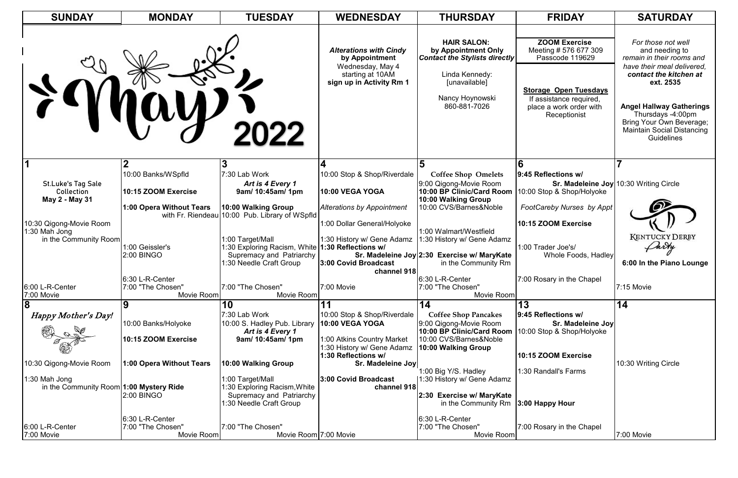| <b>SUNDAY</b>                                                     | <b>MONDAY</b>                                      | <b>TUESDAY</b>                                                                                                         | <b>WEDNESDAY</b>                                                                                                    | <b>THURSDAY</b>                                                                                                                                         | <b>FRIDAY</b>                                                                                                                                                          | <b>SATURDAY</b>                                                                                                                                                                                                                                                                      |
|-------------------------------------------------------------------|----------------------------------------------------|------------------------------------------------------------------------------------------------------------------------|---------------------------------------------------------------------------------------------------------------------|---------------------------------------------------------------------------------------------------------------------------------------------------------|------------------------------------------------------------------------------------------------------------------------------------------------------------------------|--------------------------------------------------------------------------------------------------------------------------------------------------------------------------------------------------------------------------------------------------------------------------------------|
|                                                                   |                                                    | 2022                                                                                                                   | <b>Alterations with Cindy</b><br>by Appointment<br>Wednesday, May 4<br>starting at 10AM<br>sign up in Activity Rm 1 | <b>HAIR SALON:</b><br>by Appointment Only<br><b>Contact the Stylists directly</b><br>Linda Kennedy:<br>[unavailable]<br>Nancy Hoynowski<br>860-881-7026 | <b>ZOOM Exercise</b><br>Meeting # 576 677 309<br>Passcode 119629<br><b>Storage Open Tuesdays</b><br>If assistance required,<br>place a work order with<br>Receptionist | For those not well<br>and needing to<br>remain in their rooms and<br>have their meal delivered,<br>contact the kitchen at<br>ext. 2535<br><b>Angel Hallway Gatherings</b><br>Thursdays -4:00pm<br>Bring Your Own Beverage;<br><b>Maintain Social Distancing</b><br><b>Guidelines</b> |
|                                                                   |                                                    |                                                                                                                        |                                                                                                                     |                                                                                                                                                         |                                                                                                                                                                        |                                                                                                                                                                                                                                                                                      |
| <b>St.Luke's Tag Sale</b><br>Collection                           | 10:00 Banks/WSpfld<br>10:15 ZOOM Exercise          | 7:30 Lab Work<br>Art is 4 Every 1<br>9am/ 10:45am/ 1pm                                                                 | 10:00 Stop & Shop/Riverdale<br>10:00 VEGA YOGA                                                                      | <b>Coffee Shop Omelets</b><br>9:00 Qigong-Movie Room<br>10:00 BP Clinic/Card Room                                                                       | 9:45 Reflections w/<br>10:00 Stop & Shop/Holyoke                                                                                                                       | Sr. Madeleine Joy 10:30 Writing Circle                                                                                                                                                                                                                                               |
| May 2 - May 31                                                    | 1:00 Opera Without Tears                           | 10:00 Walking Group                                                                                                    | <b>Alterations by Appointment</b>                                                                                   | 10:00 Walking Group<br>10:00 CVS/Barnes&Noble                                                                                                           | FootCareby Nurses by Appt                                                                                                                                              |                                                                                                                                                                                                                                                                                      |
| 10:30 Qigong-Movie Room<br>1:30 Mah Jong<br>in the Community Room | 1:00 Geissler's                                    | with Fr. Riendeau 10:00 Pub. Library of WSpfld<br>1:00 Target/Mall<br>1:30 Exploring Racism, White 1:30 Reflections w/ | 1:00 Dollar General/Holyoke<br>1:30 History w/ Gene Adamz                                                           | 1:00 Walmart/Westfield<br>1:30 History w/ Gene Adamz                                                                                                    | 10:15 ZOOM Exercise<br>1:00 Trader Joe's/                                                                                                                              | <b>KENTUCKY DERBY</b><br>Darty                                                                                                                                                                                                                                                       |
|                                                                   | <b>2:00 BINGO</b>                                  | Supremacy and Patriarchy<br>:30 Needle Craft Group                                                                     | 3:00 Covid Broadcast                                                                                                | Sr. Madeleine Joy 2:30 Exercise w/ MaryKate<br>in the Community Rm                                                                                      | Whole Foods, Hadley                                                                                                                                                    | 6:00 In the Piano Lounge                                                                                                                                                                                                                                                             |
| 6:00 L-R-Center<br>7:00 Movie                                     | 6:30 L-R-Center<br>7:00 "The Chosen"<br>Movie Room | 7:00 "The Chosen"<br>Movie Room                                                                                        | channel 918<br>7:00 Movie                                                                                           | 6:30 L-R-Center<br>7:00 "The Chosen"<br>Movie Room                                                                                                      | 7:00 Rosary in the Chapel                                                                                                                                              | $7:15$ Movie                                                                                                                                                                                                                                                                         |
| $\overline{\mathbf{8}}$                                           |                                                    | 10                                                                                                                     |                                                                                                                     | 14                                                                                                                                                      | 13                                                                                                                                                                     | 14                                                                                                                                                                                                                                                                                   |
| Happy Mother's Day!                                               | 10:00 Banks/Holyoke<br>10:15 ZOOM Exercise         | 7:30 Lab Work<br>10:00 S. Hadley Pub. Library<br>Art is 4 Every 1<br>9am/ 10:45am/ 1pm                                 | 10:00 Stop & Shop/Riverdale<br><b>10:00 VEGA YOGA</b><br>1:00 Atkins Country Market                                 | <b>Coffee Shop Pancakes</b><br>9:00 Qigong-Movie Room<br>10:00 BP Clinic/Card Room<br>10:00 CVS/Barnes&Noble                                            | 9:45 Reflections w/<br>Sr. Madeleine Joy<br>10:00 Stop & Shop/Holyoke                                                                                                  |                                                                                                                                                                                                                                                                                      |
|                                                                   |                                                    |                                                                                                                        | 1:30 History w/ Gene Adamz<br>1:30 Reflections w/                                                                   | 10:00 Walking Group                                                                                                                                     | 10:15 ZOOM Exercise                                                                                                                                                    |                                                                                                                                                                                                                                                                                      |
| 10:30 Qigong-Movie Room<br>1:30 Mah Jong                          | 1:00 Opera Without Tears                           | 10:00 Walking Group<br>1:00 Target/Mall                                                                                | Sr. Madeleine Joy<br>3:00 Covid Broadcast<br>channel 918                                                            | 1:00 Big Y/S. Hadley<br>1:30 History w/ Gene Adamz                                                                                                      | 1:30 Randall's Farms                                                                                                                                                   | 10:30 Writing Circle                                                                                                                                                                                                                                                                 |
| in the Community Room 1:00 Mystery Ride                           | <b>2:00 BINGO</b>                                  | l∶30 Exploring Racism,White<br><b>Supremacy and Patriarchy</b><br>1:30 Needle Craft Group                              |                                                                                                                     | 2:30 Exercise w/ MaryKate<br>in the Community $Rm$ <b>3:00 Happy Hour</b>                                                                               |                                                                                                                                                                        |                                                                                                                                                                                                                                                                                      |
| 6:00 L-R-Center<br>7:00 Movie                                     | 6:30 L-R-Center<br>7:00 "The Chosen"<br>Movie Room | 7:00 "The Chosen"<br>Movie Room 7:00 Movie                                                                             |                                                                                                                     | 6:30 L-R-Center<br>7:00 "The Chosen"<br>Movie Room                                                                                                      | 7:00 Rosary in the Chapel                                                                                                                                              | 7:00 Movie                                                                                                                                                                                                                                                                           |